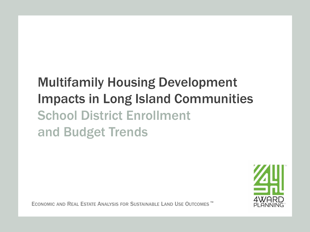# Multifamily Housing Development Impacts in Long Island Communities School District Enrollment and Budget Trends



ECONOMIC AND REAL ESTATE ANALYSIS FOR SUSTAINABLE LAND USE OUTCOMES ™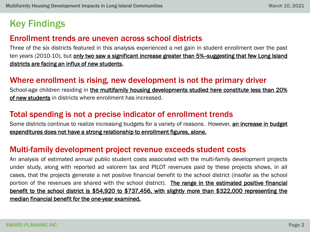# Key Findings

#### Enrollment trends are uneven across school districts

Three of the six districts featured in this analysis experienced a net gain in student enrollment over the past ten years (2010-10), but only two saw a significant increase greater than 5%-suggesting that few Long Island districts are facing an influx of new students.

#### Where enrollment is rising, new development is not the primary driver

School-age children residing in the multifamily housing developments studied here constitute less than 20% of new students in districts where enrollment has increased.

#### Total spending is not a precise indicator of enrollment trends

Some districts continue to realize increasing budgets for a variety of reasons. However, an increase in budget expenditures does not have a strong relationship to enrollment figures, alone.

#### Multi-family development project revenue exceeds student costs

An analysis of estimated annual public student costs associated with the multi-family development projects under study, along with reported ad valorem tax and PILOT revenues paid by these projects shows, in all cases, that the projects generate a net positive financial benefit to the school district (insofar as the school portion of the revenues are shared with the school district). The range in the estimated positive financial benefit to the school district is \$54,920 to \$737,456, with slightly more than \$322,000 representing the median financial benefit for the one-year examined.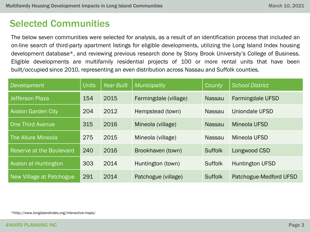# Selected Communities

The below seven communities were selected for analysis, as a result of an identification process that included an on-line search of third-party apartment listings for eligible developments, utilizing the Long Island Index housing development database\*, and reviewing previous research done by Stony Brook University's College of Business. Eligible developments are multifamily residential projects of 100 or more rental units that have been built/occupied since 2010, representing an even distribution across Nassau and Suffolk counties.

| <b>Development</b>        | <b>Units</b> | Year Built | Municipality          | County         | <b>School District</b>  |
|---------------------------|--------------|------------|-----------------------|----------------|-------------------------|
| Jefferson Plaza           | 154          | 2015       | Farmingdale (village) | <b>Nassau</b>  | <b>Farmingdale UFSD</b> |
| <b>Avalon Garden City</b> | 204          | 2012       | Hempstead (town)      | <b>Nassau</b>  | Uniondale UFSD          |
| <b>One Third Avenue</b>   | 315          | 2016       | Mineola (village)     | <b>Nassau</b>  | Mineola UFSD            |
| The Allure Mineola        | 275          | 2015       | Mineola (village)     | <b>Nassau</b>  | Mineola UFSD            |
| Reserve at the Boulevard  | 240          | 2016       | Brookhaven (town)     | <b>Suffolk</b> | Longwood CSD            |
| Avalon at Huntington      | 303          | 2014       | Huntington (town)     | <b>Suffolk</b> | <b>Huntington UFSD</b>  |
| New Village at Patchogue  | 291          | 2014       | Patchogue (village)   | <b>Suffolk</b> | Patchogue-Medford UFSD  |

\*http://www.longislandindex.org/interactive-maps/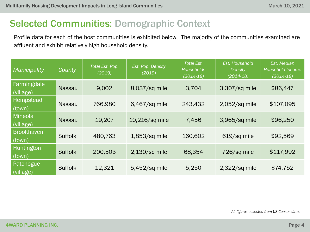# Selected Communities: Demographic Context

Profile data for each of the host communities is exhibited below. The majority of the communities examined are affluent and exhibit relatively high household density.

| Municipality                | County         | Total Est. Pop.<br>(2019) | Est. Pop. Density<br>(2019) | <b>Total Est.</b><br><b>Households</b><br>$(2014-18)$ | Est. Household<br>Density<br>$(2014-18)$ | Est. Median<br>Household Income<br>$(2014-18)$ |
|-----------------------------|----------------|---------------------------|-----------------------------|-------------------------------------------------------|------------------------------------------|------------------------------------------------|
| Farmingdale<br>(village)    | <b>Nassau</b>  | 9,002                     | 8,037/sq mile               | 3,704                                                 | 3,307/sq mile                            | \$86,447                                       |
| Hempstead<br>(town)         | <b>Nassau</b>  | 766,980                   | $6,467$ /sq mile            | 243,432                                               | 2,052/sq mile                            | \$107,095                                      |
| <b>Mineola</b><br>(village) | <b>Nassau</b>  | 19,207                    | 10,216/sq mile              | 7,456                                                 | 3,965/sq mile                            | \$96,250                                       |
| <b>Brookhaven</b><br>(town) | <b>Suffolk</b> | 480,763                   | $1,853$ /sq mile            | 160,602                                               | 619/sq mile                              | \$92,569                                       |
| Huntington<br>(town)        | <b>Suffolk</b> | 200,503                   | $2,130$ /sq mile            | 68,354                                                | 726/sq mile                              | \$117,992                                      |
| Patchogue<br>(village)      | <b>Suffolk</b> | 12,321                    | 5,452/sq mile               | 5,250                                                 | $2,322$ /sq mile                         | \$74,752                                       |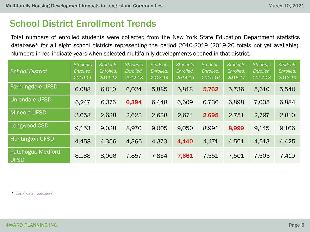Total numbers of enrolled students were collected from the New York State Education Department statistics database\* for all eight school districts representing the period 2010-2019 (2019-20 totals not yet available). Numbers in red indicate years when selected multifamily developments opened in that district.

| <b>School District</b>           | <b>Students</b><br>Enrolled,<br>2010-11 | <b>Students</b><br>Enrolled,<br>2011-12 | <b>Students</b><br>Enrolled,<br>2012-13 | <b>Students</b><br>Enrolled,<br>2013-14 | <b>Students</b><br>Enrolled,<br>2014-15 | <b>Students</b><br>Enrolled,<br>2015-16 | <b>Students</b><br>Enrolled,<br>2016-17 | <b>Students</b><br>Enrolled,<br>2017-18 | <b>Students</b><br>Enrolled,<br>2018-19 |
|----------------------------------|-----------------------------------------|-----------------------------------------|-----------------------------------------|-----------------------------------------|-----------------------------------------|-----------------------------------------|-----------------------------------------|-----------------------------------------|-----------------------------------------|
| <b>Farmingdale UFSD</b>          | 6,088                                   | 6,010                                   | 6,024                                   | 5,885                                   | 5,818                                   | 5,762                                   | 5,736                                   | 5,610                                   | 5,540                                   |
| <b>Uniondale UFSD</b>            | 6,247                                   | 6,376                                   | 6,394                                   | 6,448                                   | 6,609                                   | 6,736                                   | 6,898                                   | 7,035                                   | 6,884                                   |
| <b>Mineola UFSD</b>              | 2,658                                   | 2,638                                   | 2,623                                   | 2,638                                   | 2,671                                   | 2,695                                   | 2,751                                   | 2,797                                   | 2,810                                   |
| Longwood CSD                     | 9,153                                   | 9,038                                   | 8,970                                   | 9,005                                   | 9,050                                   | 8,991                                   | 8,999                                   | 9.145                                   | 9,166                                   |
| <b>Huntington UFSD</b>           | 4,458                                   | 4,356                                   | 4,366                                   | 4,373                                   | 4,440                                   | 4,471                                   | 4,561                                   | 4,513                                   | 4,425                                   |
| Patchogue-Medford<br><b>UFSD</b> | 8,188                                   | 8,006                                   | 7,857                                   | 7,854                                   | 7,661                                   | 7,551                                   | 7,501                                   | 7,503                                   | 7,410                                   |

*\**<https://data.nysed.gov/>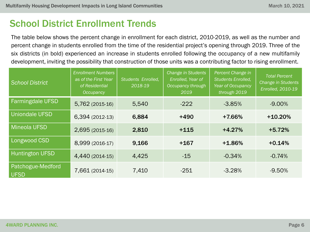The table below shows the percent change in enrollment for each district, 2010-2019, as well as the number and percent change in students enrolled from the time of the residential project's opening through 2019. Three of the six districts (in bold) experienced an increase in students enrolled following the occupancy of a new multifamily development, inviting the possibility that construction of those units was a contributing factor to rising enrollment.

| <b>School District</b>           | <b>Enrollment Numbers</b><br>as of the First Year<br>of Residential<br>Occupancy | Students Enrolled,<br>2018-19 | Change in Students<br>Enrolled, Year of<br>Occupancy through<br>2019 | Percent Change in<br>Students Enrolled,<br>Year of Occupancy<br>through 2019 | <b>Total Percent</b><br><b>Change in Students</b><br>Enrolled, 2010-19 |
|----------------------------------|----------------------------------------------------------------------------------|-------------------------------|----------------------------------------------------------------------|------------------------------------------------------------------------------|------------------------------------------------------------------------|
| <b>Farmingdale UFSD</b>          | 5,762 (2015-16)                                                                  | 5,540                         | $-222$                                                               | $-3.85%$                                                                     | $-9.00\%$                                                              |
| <b>Uniondale UFSD</b>            | 6,394 (2012-13)                                                                  | 6,884                         | $+490$                                                               | +7.66%                                                                       | $+10.20%$                                                              |
| <b>Mineola UFSD</b>              | 2,695 (2015-16)                                                                  | 2,810                         | $+115$                                                               | $+4.27%$                                                                     | $+5.72%$                                                               |
| <b>Longwood CSD</b>              | 8,999 (2016-17)                                                                  | 9,166                         | $+167$                                                               | $+1.86%$                                                                     | $+0.14%$                                                               |
| <b>Huntington UFSD</b>           | 4,440 (2014-15)                                                                  | 4,425                         | $-15$                                                                | $-0.34%$                                                                     | $-0.74%$                                                               |
| Patchogue-Medford<br><b>UFSD</b> | 7,661 (2014-15)                                                                  | 7,410                         | $-251$                                                               | $-3.28%$                                                                     | $-9.50%$                                                               |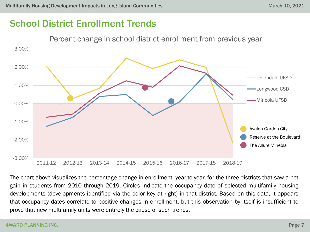

The chart above visualizes the percentage change in enrollment, year-to-year, for the three districts that saw a net gain in students from 2010 through 2019. Circles indicate the occupancy date of selected multifamily housing developments (developments identified via the color key at right) in that district. Based on this data, it appears that occupancy dates correlate to positive changes in enrollment, but this observation by itself is insufficient to prove that new multifamily units were entirely the cause of such trends.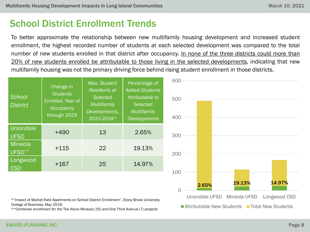To better approximate the relationship between new multifamily housing development and increased student enrollment, the highest recorded number of students at each selected development was compared to the total number of new students enrolled in that district after occupancy. In none of the three districts could more than 20% of new students enrolled be attributable to those living in the selected developments, indicating that new multifamily housing was not the primary driving force behind rising student enrollment in those districts.



\*"Impact of Market Rate Apartments on School District Enrollment", Stony Brook University College of Business, May 2019;

\*\*Combines enrollment for the The Allure Mineola (15) and One Third Avenue (7) projects

**T** Attributable New Students **T** Total New Students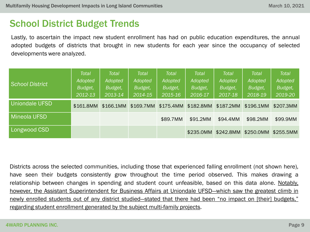### School District Budget Trends

Lastly, to ascertain the impact new student enrollment has had on public education expenditures, the annual adopted budgets of districts that brought in new students for each year since the occupancy of selected developments were analyzed.

| <b>School District</b> | <b>Total</b><br>Adopted<br>Budget,<br>2012-13 | <b>Total</b><br><b>Adopted</b><br>Budget,<br>2013-14 | <b>Total</b><br>Adopted<br>Budget,<br>2014-15 | <b>Total</b><br>Adopted<br>Budget,<br>2015-16 | <b>Total</b><br><b>Adopted</b><br>Budget,<br>2016-17 | <b>Total</b><br>Adopted<br>Budget,<br>2017-18 | Total<br><b>Adopted</b><br>Budget,<br>2018-19 | <b>Total</b><br><b>Adopted</b><br>Budget,<br>2019-20 |
|------------------------|-----------------------------------------------|------------------------------------------------------|-----------------------------------------------|-----------------------------------------------|------------------------------------------------------|-----------------------------------------------|-----------------------------------------------|------------------------------------------------------|
| <b>Uniondale UFSD</b>  | \$161.8MM                                     | \$166.1MM                                            |                                               | \$169.7MM \$175.4MM                           | \$182.8MM                                            | \$187.2MM                                     | \$196.1MM                                     | \$207.3MM                                            |
| <b>Mineola UFSD</b>    |                                               |                                                      |                                               | \$89.7MM                                      | \$91,2MM                                             | \$94,4MM                                      | \$98,2MM                                      | \$99.9MM                                             |
| Longwood CSD           |                                               |                                                      |                                               |                                               | \$235.0MM                                            | \$242.8MM                                     | \$250.0MM                                     | \$255.5MM                                            |

Districts across the selected communities, including those that experienced falling enrollment (not shown here), have seen their budgets consistently grow throughout the time period observed. This makes drawing a relationship between changes in spending and student count unfeasible, based on this data alone. Notably, however, the Assistant Superintendent for Business Affairs at Uniondale UFSD—which saw the greatest climb in newly enrolled students out of any district studied—stated that there had been "no impact on [their] budgets," regarding student enrollment generated by the subject multi-family projects.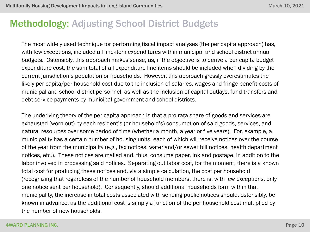The most widely used technique for performing fiscal impact analyses (the per capita approach) has, with few exceptions, included all line-item expenditures within municipal and school district annual budgets. Ostensibly, this approach makes sense, as, if the objective is to derive a per capita budget expenditure cost, the sum total of all expenditure line items should be included when dividing by the current jurisdiction's population or households. However, this approach grossly overestimates the likely per capita/per household cost due to the inclusion of salaries, wages and fringe benefit costs of municipal and school district personnel, as well as the inclusion of capital outlays, fund transfers and debt service payments by municipal government and school districts.

The underlying theory of the per capita approach is that a pro rata share of goods and services are exhausted (worn out) by each resident's (or household's) consumption of said goods, services, and natural resources over some period of time (whether a month, a year or five years). For, example, a municipality has a certain number of housing units, each of which will receive notices over the course of the year from the municipality (e.g., tax notices, water and/or sewer bill notices, health department notices, etc.). These notices are mailed and, thus, consume paper, ink and postage, in addition to the labor involved in processing said notices. Separating out labor cost, for the moment, there is a known total cost for producing these notices and, via a simple calculation, the cost per household (recognizing that regardless of the number of household members, there is, with few exceptions, only one notice sent per household). Consequently, should additional households form within that municipality, the increase in total costs associated with sending public notices should, ostensibly, be known in advance, as the additional cost is simply a function of the per household cost multiplied by the number of new households.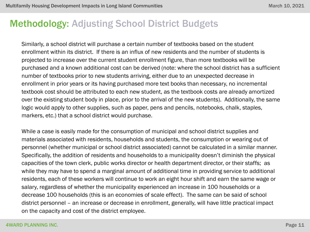Similarly, a school district will purchase a certain number of textbooks based on the student enrollment within its district. If there is an influx of new residents and the number of students is projected to increase over the current student enrollment figure, than more textbooks will be purchased and a known additional cost can be derived (note: where the school district has a sufficient number of textbooks prior to new students arriving, either due to an unexpected decrease in enrollment in prior years or its having purchased more text books than necessary, no incremental textbook cost should be attributed to each new student, as the textbook costs are already amortized over the existing student body in place, prior to the arrival of the new students). Additionally, the same logic would apply to other supplies, such as paper, pens and pencils, notebooks, chalk, staples, markers, etc.) that a school district would purchase.

While a case is easily made for the consumption of municipal and school district supplies and materials associated with residents, households and students, the consumption or wearing out of personnel (whether municipal or school district associated) cannot be calculated in a similar manner. Specifically, the addition of residents and households to a municipality doesn't diminish the physical capacities of the town clerk, public works director or health department director, or their staffs; as while they may have to spend a marginal amount of additional time in providing service to additional residents, each of these workers will continue to work an eight hour shift and earn the same wage or salary, regardless of whether the municipality experienced an increase in 100 households or a decrease 100 households (this is an economies of scale effect). The same can be said of school district personnel – an increase or decrease in enrollment, generally, will have little practical impact on the capacity and cost of the district employee.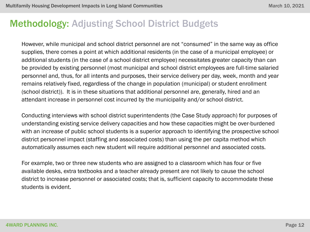However, while municipal and school district personnel are not "consumed" in the same way as office supplies, there comes a point at which additional residents (in the case of a municipal employee) or additional students (in the case of a school district employee) necessitates greater capacity than can be provided by existing personnel (most municipal and school district employees are full-time salaried personnel and, thus, for all intents and purposes, their service delivery per day, week, month and year remains relatively fixed, regardless of the change in population (municipal) or student enrollment (school district)). It is in these situations that additional personnel are, generally, hired and an attendant increase in personnel cost incurred by the municipality and/or school district.

Conducting interviews with school district superintendents (the Case Study approach) for purposes of understanding existing service delivery capacities and how these capacities might be over-burdened with an increase of public school students is a superior approach to identifying the prospective school district personnel impact (staffing and associated costs) than using the per capita method which automatically assumes each new student will require additional personnel and associated costs.

For example, two or three new students who are assigned to a classroom which has four or five available desks, extra textbooks and a teacher already present are not likely to cause the school district to increase personnel or associated costs; that is, sufficient capacity to accommodate these students is evident.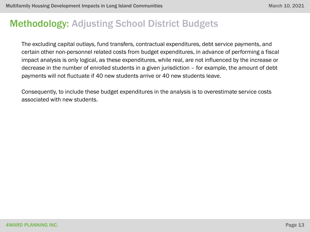The excluding capital outlays, fund transfers, contractual expenditures, debt service payments, and certain other non-personnel related costs from budget expenditures, in advance of performing a fiscal impact analysis is only logical, as these expenditures, while real, are not influenced by the increase or decrease in the number of enrolled students in a given jurisdiction – for example, the amount of debt payments will not fluctuate if 40 new students arrive or 40 new students leave.

Consequently, to include these budget expenditures in the analysis is to overestimate service costs associated with new students.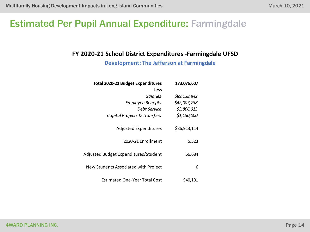### Estimated Per Pupil Annual Expenditure: Farmingdale

#### **FY 2020-21 School District Expenditures -Farmingdale UFSD**

**Development: The Jefferson at Farmingdale**

| 173,076,607  | <b>Total 2020-21 Budget Expenditures</b> |
|--------------|------------------------------------------|
|              | Less                                     |
| \$89,138,842 | Salaries                                 |
| \$42,007,738 | <b>Employee Benefits</b>                 |
| \$3,866,913  | Debt Service                             |
| \$1,150,000  | Capital Projects & Transfers             |
|              |                                          |
| \$36,913,114 | <b>Adjusted Expenditures</b>             |
|              |                                          |
| 5,523        | 2020-21 Enrollment                       |
|              |                                          |
| \$6,684      | Adjusted Budget Expenditures/Student     |
|              |                                          |
| 6            | New Students Associated with Project     |
|              |                                          |
| S40,101      | Estimated One-Year Total Cost            |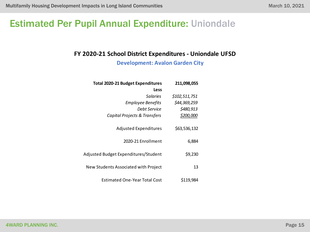### Estimated Per Pupil Annual Expenditure: Uniondale

#### **FY 2020-21 School District Expenditures - Uniondale UFSD**

**Development: Avalon Garden City**

| 211,098,055  |               | <b>Total 2020-21 Budget Expenditures</b> |
|--------------|---------------|------------------------------------------|
|              |               | Less                                     |
|              | \$102,511,751 | Salaries                                 |
| \$44,369,259 |               | <b>Employee Benefits</b>                 |
| \$480,913    |               | Debt Service                             |
| \$200,000    |               | Capital Projects & Transfers             |
| \$63,536,132 |               | <b>Adjusted Expenditures</b>             |
| 6,884        |               | 2020-21 Enrollment                       |
| \$9,230      |               | Adjusted Budget Expenditures/Student     |
| 13           |               | New Students Associated with Project     |
| \$119,984    |               | Estimated One-Year Total Cost            |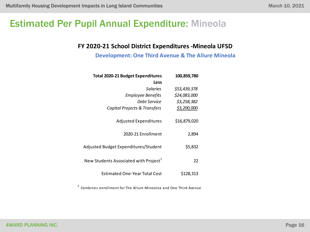## Estimated Per Pupil Annual Expenditure: Mineola

#### **FY 2020-21 School District Expenditures -Mineola UFSD**

**Development: One Third Avenue & The Allure Mineola**

| <b>Total 2020-21 Budget Expenditures</b>          | 100,859,780  |
|---------------------------------------------------|--------------|
| Less                                              |              |
| Salaries                                          | \$53,439,378 |
| <b>Employee Benefits</b>                          | \$24,083,000 |
| Debt Service                                      | \$3,258,382  |
| Capital Projects & Transfers                      | \$3,200,000  |
| <b>Adjusted Expenditures</b>                      | \$16,879,020 |
| 2020-21 Enrollment                                | 2,894        |
| Adjusted Budget Expenditures/Student              | \$5,832      |
| New Students Associated with Project <sup>1</sup> | 22           |
| <b>Estimated One-Year Total Cost</b>              | \$128,313    |

 $^{\rm 1}$  Combines enrollment for The Allure Mineoloa and One Third Avenue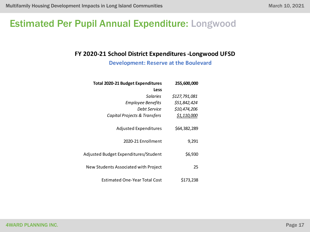### Estimated Per Pupil Annual Expenditure: Longwood

#### **FY 2020-21 School District Expenditures -Longwood UFSD**

**Development: Reserve at the Boulevard**

| 255,600,000   | <b>Total 2020-21 Budget Expenditures</b> |
|---------------|------------------------------------------|
|               | Less                                     |
| \$127,791,081 | Salaries                                 |
| \$51,842,424  | <b>Employee Benefits</b>                 |
| \$10,474,206  | Debt Service                             |
| \$1,110,000   | Capital Projects & Transfers             |
| \$64,382,289  | <b>Adjusted Expenditures</b>             |
| 9,291         | 2020-21 Enrollment                       |
| \$6,930       | Adjusted Budget Expenditures/Student     |
| 25            | New Students Associated with Project     |
| \$173,238     | Estimated One-Year Total Cost            |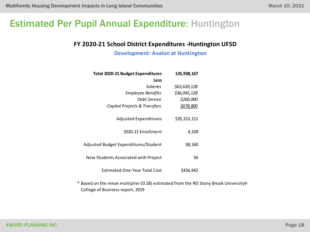### Estimated Per Pupil Annual Expenditure: Huntington

#### **FY 2020-21 School District Expenditures -Huntington UFSD**

**Development: Avalon at Huntington**

| 135,938,167  | <b>Total 2020-21 Budget Expenditures</b> |
|--------------|------------------------------------------|
|              | Less                                     |
| \$63,639,128 | Salaries                                 |
| \$36,045,128 | Employee Benefits                        |
| \$260,000    | Debt Service                             |
| \$678,800    | Capital Projects & Transfers             |
| \$35,315,111 | <b>Adjusted Expenditures</b>             |
| 4,328        | 2020-21 Enrollment                       |
| \$8,160      | Adjusted Budget Expenditures/Student     |
| 56           | New Students Associated with Project     |
| \$456,942    | Estimated One-Year Total Cost            |

\* Based on the mean multiplier (0.18) estimated from the REI Stony Brook Universityh College of Business report, 2019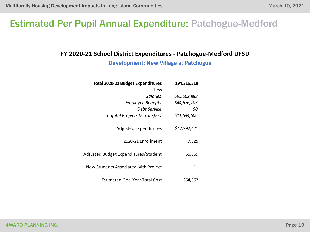## Estimated Per Pupil Annual Expenditure: Patchogue-Medford

#### **FY 2020-21 School District Expenditures - Patchogue-Medford UFSD**

**Development: New Village at Patchogue**

|         | 194,316,518  | <b>Total 2020-21 Budget Expenditures</b> |
|---------|--------------|------------------------------------------|
|         |              | Less                                     |
|         | \$95,002,888 | Salaries                                 |
|         | \$44,676,703 | <b>Employee Benefits</b>                 |
| \$0     |              | Debt Service                             |
|         | \$11,644,506 | Capital Projects & Transfers             |
|         | \$42,992,421 | <b>Adjusted Expenditures</b>             |
| 7,325   |              | 2020-21 Enrollment                       |
| \$5,869 |              | Adjusted Budget Expenditures/Student     |
| 11      |              | New Students Associated with Project     |
|         | \$64.562     | Estimated One-Year Total Cost            |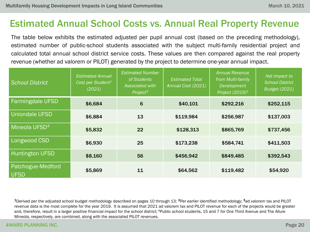# Estimated Annual School Costs vs. Annual Real Property Revenue

The table below exhibits the estimated adjusted per pupil annual cost (based on the preceding methodology), estimated number of public-school students associated with the subject multi-family residential project and calculated total annual school district service costs. These values are then compared against the real property revenue (whether ad valorem or PILOT) generated by the project to determine one-year annual impact.

| <b>School District</b>           | <b>Estimated Annual</b><br>Cost per Student <sup>1</sup><br>(2021) | <b>Estimated Number</b><br>of Students<br>Associated with<br>Project <sup>2</sup> | <b>Estimated Total</b><br>Annual Cost (2021) | <b>Annual Revenue</b><br>from Multi-family<br>Development<br>Project (2019) <sup>3</sup> | Net Impact to<br><b>School District</b><br><b>Budget (2021)</b> |
|----------------------------------|--------------------------------------------------------------------|-----------------------------------------------------------------------------------|----------------------------------------------|------------------------------------------------------------------------------------------|-----------------------------------------------------------------|
| <b>Farmingdale UFSD</b>          | \$6,684                                                            | 6                                                                                 | \$40,101                                     | \$292,216                                                                                | \$252,115                                                       |
| <b>Uniondale UFSD</b>            | \$6,884                                                            | 13                                                                                | \$119,984                                    | \$256,987                                                                                | \$137,003                                                       |
| Mineola UFSD <sup>4</sup>        | \$5,832                                                            | 22                                                                                | \$128,313                                    | \$865,769                                                                                | \$737,456                                                       |
| Longwood CSD                     | \$6,930                                                            | 25                                                                                | \$173,238                                    | \$584,741                                                                                | \$411,503                                                       |
| <b>Huntington UFSD</b>           | \$8,160                                                            | 56                                                                                | \$456,942                                    | \$849,485                                                                                | \$392,543                                                       |
| Patchogue-Medford<br><b>UFSD</b> | \$5,869                                                            | 11                                                                                | \$64,562                                     | \$119,482                                                                                | \$54,920                                                        |

<sup>1</sup>Derived per the adjusted school budget methodology described on pages 10 through 13; <sup>2</sup>Per earlier identified methodology; <sup>3</sup>ad valorem tax and PILOT revenue data is the most complete for the year 2019. It is assumed that 2021 ad valorem tax and PILOT revenue for each of the projects would be greater and, therefore, result in a larger positive financial impact for the school district; <sup>4</sup>Public school students, 15 and 7 for One Third Avenue and The Allure Mineola, respectively, are combined, along with the associated PILOT revenues.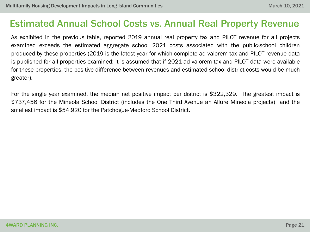#### Estimated Annual School Costs vs. Annual Real Property Revenue

As exhibited in the previous table, reported 2019 annual real property tax and PILOT revenue for all projects examined exceeds the estimated aggregate school 2021 costs associated with the public-school children produced by these properties (2019 is the latest year for which complete ad valorem tax and PILOT revenue data is published for all properties examined; it is assumed that if 2021 ad valorem tax and PILOT data were available for these properties, the positive difference between revenues and estimated school district costs would be much greater).

For the single year examined, the median net positive impact per district is \$322,329. The greatest impact is \$737,456 for the Mineola School District (includes the One Third Avenue an Allure Mineola projects) and the smallest impact is \$54,920 for the Patchogue-Medford School District.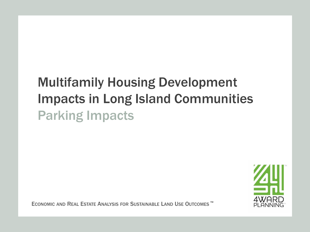# Multifamily Housing Development Impacts in Long Island Communities Parking Impacts

ECONOMIC AND REAL ESTATE ANALYSIS FOR SUSTAINABLE LAND USE OUTCOMES ™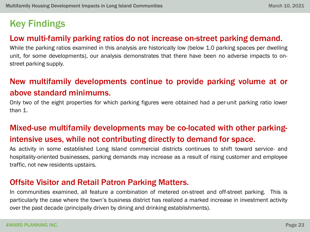# Key Findings

#### Low multi-family parking ratios do not increase on-street parking demand.

While the parking ratios examined in this analysis are historically low (below 1.0 parking spaces per dwelling unit, for some developments), our analysis demonstrates that there have been no adverse impacts to onstreet parking supply.

#### New multifamily developments continue to provide parking volume at or above standard minimums.

Only two of the eight properties for which parking figures were obtained had a per-unit parking ratio lower than 1.

#### Mixed-use multifamily developments may be co-located with other parkingintensive uses, while not contributing directly to demand for space.

As activity in some established Long Island commercial districts continues to shift toward service- and hospitality-oriented businesses, parking demands may increase as a result of rising customer and employee traffic, not new residents upstairs.

#### Offsite Visitor and Retail Patron Parking Matters.

In communities examined, all feature a combination of metered on-street and off-street parking. This is particularly the case where the town's business district has realized a marked increase in investment activity over the past decade (principally driven by dining and drinking establishments).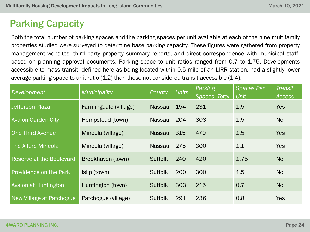# Parking Capacity

Both the total number of parking spaces and the parking spaces per unit available at each of the nine multifamily properties studied were surveyed to determine base parking capacity. These figures were gathered from property management websites, third party property summary reports, and direct correspondence with municipal staff, based on planning approval documents. Parking space to unit ratios ranged from 0.7 to 1.75. Developments accessible to mass transit, defined here as being located within 0.5 mile of an LIRR station, had a slightly lower average parking space to unit ratio (1.2) than those not considered transit accessible (1.4).

| Development                     | Municipality          | County         | <b>Units</b> | Parking<br>Spaces, Total | <b>Spaces Per</b><br><b>Unit</b> | <b>Transit</b><br>Access |
|---------------------------------|-----------------------|----------------|--------------|--------------------------|----------------------------------|--------------------------|
| <b>Jefferson Plaza</b>          | Farmingdale (village) | <b>Nassau</b>  | 154          | 231                      | 1.5                              | <b>Yes</b>               |
| <b>Avalon Garden City</b>       | Hempstead (town)      | <b>Nassau</b>  | 204          | 303                      | 1.5                              | <b>No</b>                |
| <b>One Third Avenue</b>         | Mineola (village)     | <b>Nassau</b>  | 315          | 470                      | 1.5                              | <b>Yes</b>               |
| The Allure Mineola              | Mineola (village)     | <b>Nassau</b>  | 275          | 300                      | 1.1                              | <b>Yes</b>               |
| <b>Reserve at the Boulevard</b> | Brookhaven (town)     | <b>Suffolk</b> | 240          | 420                      | 1.75                             | <b>No</b>                |
| <b>Providence on the Park</b>   | Islip (town)          | <b>Suffolk</b> | 200          | 300                      | 1.5                              | <b>No</b>                |
| Avalon at Huntington            | Huntington (town)     | <b>Suffolk</b> | 303          | 215                      | 0.7                              | <b>No</b>                |
| New Village at Patchogue        | Patchogue (village)   | <b>Suffolk</b> | 291          | 236                      | 0.8                              | <b>Yes</b>               |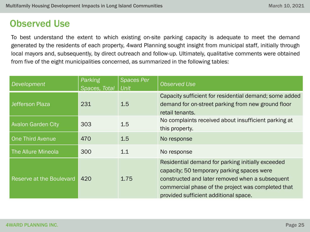#### Observed Use

To best understand the extent to which existing on-site parking capacity is adequate to meet the demand generated by the residents of each property, 4ward Planning sought insight from municipal staff, initially through local mayors and, subsequently, by direct outreach and follow-up. Ultimately, qualitative comments were obtained from five of the eight municipalities concerned, as summarized in the following tables:

| Development               | Parking<br>Spaces, Total | <b>Spaces Per</b><br><b>Unit</b> | <b>Observed Use</b>                                                                                                                                                                                                                               |
|---------------------------|--------------------------|----------------------------------|---------------------------------------------------------------------------------------------------------------------------------------------------------------------------------------------------------------------------------------------------|
| Jefferson Plaza           | 231                      | 1.5                              | Capacity sufficient for residential demand; some added<br>demand for on-street parking from new ground floor<br>retail tenants.                                                                                                                   |
| <b>Avalon Garden City</b> | 303                      | 1.5                              | No complaints received about insufficient parking at<br>this property.                                                                                                                                                                            |
| <b>One Third Avenue</b>   | 470                      | 1.5                              | No response                                                                                                                                                                                                                                       |
| The Allure Mineola        | 300                      | 1.1                              | No response                                                                                                                                                                                                                                       |
| Reserve at the Boulevard  | 420                      | 1.75                             | Residential demand for parking initially exceeded<br>capacity; 50 temporary parking spaces were<br>constructed and later removed when a subsequent<br>commercial phase of the project was completed that<br>provided sufficient additional space. |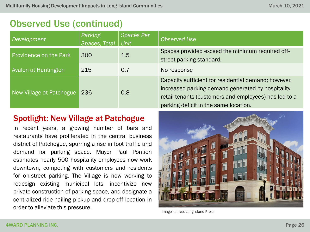#### Observed Use (continued)

| Development                   | Parking<br>Spaces, Total | <b>Spaces Per</b><br>Unit | Observed Use                                                                                                                                                                                                |
|-------------------------------|--------------------------|---------------------------|-------------------------------------------------------------------------------------------------------------------------------------------------------------------------------------------------------------|
| <b>Providence on the Park</b> | 300                      | 1.5                       | Spaces provided exceed the minimum required off-<br>street parking standard.                                                                                                                                |
| Avalon at Huntington          | 215                      | 0.7                       | No response                                                                                                                                                                                                 |
| New Village at Patchogue      | 236                      | 0.8                       | Capacity sufficient for residential demand; however,<br>increased parking demand generated by hospitality<br>retail tenants (customers and employees) has led to a<br>parking deficit in the same location. |

#### Spotlight: New Village at Patchogue

In recent years, a growing number of bars and restaurants have proliferated in the central business district of Patchogue, spurring a rise in foot traffic and demand for parking space. Mayor Paul Pontieri estimates nearly 500 hospitality employees now work downtown, competing with customers and residents for on-street parking. The Village is now working to redesign existing municipal lots, incentivize new private construction of parking space, and designate a centralized ride-hailing pickup and drop-off location in order to alleviate this pressure.



Image source: Long Island Press